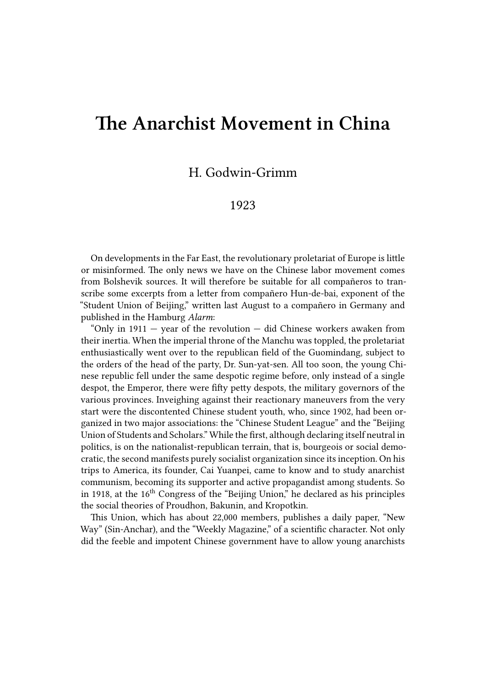## **The Anarchist Movement in China**

## H. Godwin-Grimm

## 1923

On developments in the Far East, the revolutionary proletariat of Europe is little or misinformed. The only news we have on the Chinese labor movement comes from Bolshevik sources. It will therefore be suitable for all compañeros to transcribe some excerpts from a letter from compañero Hun-de-bai, exponent of the "Student Union of Beijing," written last August to a compañero in Germany and published in the Hamburg *Alarm*:

"Only in  $1911 -$  year of the revolution  $-$  did Chinese workers awaken from their inertia. When the imperial throne of the Manchu was toppled, the proletariat enthusiastically went over to the republican field of the Guomindang, subject to the orders of the head of the party, Dr. Sun-yat-sen. All too soon, the young Chinese republic fell under the same despotic regime before, only instead of a single despot, the Emperor, there were fifty petty despots, the military governors of the various provinces. Inveighing against their reactionary maneuvers from the very start were the discontented Chinese student youth, who, since 1902, had been organized in two major associations: the "Chinese Student League" and the "Beijing Union of Students and Scholars." While the first, although declaring itself neutral in politics, is on the nationalist-republican terrain, that is, bourgeois or social democratic, the second manifests purely socialist organization since its inception. On his trips to America, its founder, Cai Yuanpei, came to know and to study anarchist communism, becoming its supporter and active propagandist among students. So in 1918, at the  $16<sup>th</sup>$  Congress of the "Beijing Union," he declared as his principles the social theories of Proudhon, Bakunin, and Kropotkin.

This Union, which has about 22,000 members, publishes a daily paper, "New Way" (Sin-Anchar), and the "Weekly Magazine," of a scientific character. Not only did the feeble and impotent Chinese government have to allow young anarchists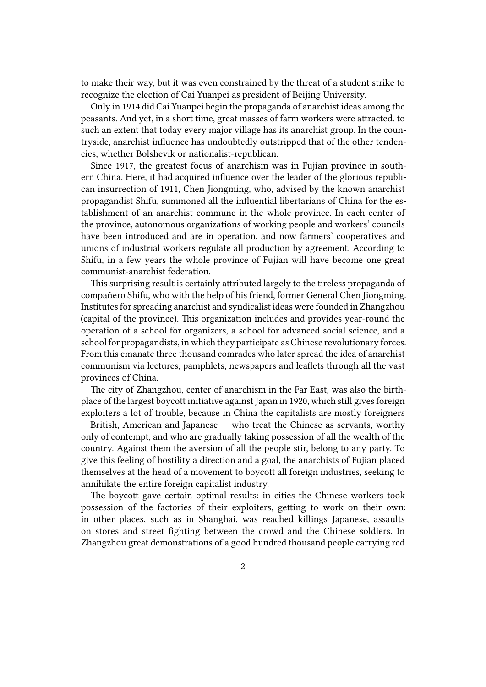to make their way, but it was even constrained by the threat of a student strike to recognize the election of Cai Yuanpei as president of Beijing University.

Only in 1914 did Cai Yuanpei begin the propaganda of anarchist ideas among the peasants. And yet, in a short time, great masses of farm workers were attracted. to such an extent that today every major village has its anarchist group. In the countryside, anarchist influence has undoubtedly outstripped that of the other tendencies, whether Bolshevik or nationalist-republican.

Since 1917, the greatest focus of anarchism was in Fujian province in southern China. Here, it had acquired influence over the leader of the glorious republican insurrection of 1911, Chen Jiongming, who, advised by the known anarchist propagandist Shifu, summoned all the influential libertarians of China for the establishment of an anarchist commune in the whole province. In each center of the province, autonomous organizations of working people and workers' councils have been introduced and are in operation, and now farmers' cooperatives and unions of industrial workers regulate all production by agreement. According to Shifu, in a few years the whole province of Fujian will have become one great communist-anarchist federation.

This surprising result is certainly attributed largely to the tireless propaganda of compañero Shifu, who with the help of his friend, former General Chen Jiongming. Institutes for spreading anarchist and syndicalist ideas were founded in Zhangzhou (capital of the province). This organization includes and provides year-round the operation of a school for organizers, a school for advanced social science, and a school for propagandists, in which they participate as Chinese revolutionary forces. From this emanate three thousand comrades who later spread the idea of anarchist communism via lectures, pamphlets, newspapers and leaflets through all the vast provinces of China.

The city of Zhangzhou, center of anarchism in the Far East, was also the birthplace of the largest boycott initiative against Japan in 1920, which still gives foreign exploiters a lot of trouble, because in China the capitalists are mostly foreigners — British, American and Japanese — who treat the Chinese as servants, worthy only of contempt, and who are gradually taking possession of all the wealth of the country. Against them the aversion of all the people stir, belong to any party. To give this feeling of hostility a direction and a goal, the anarchists of Fujian placed themselves at the head of a movement to boycott all foreign industries, seeking to annihilate the entire foreign capitalist industry.

The boycott gave certain optimal results: in cities the Chinese workers took possession of the factories of their exploiters, getting to work on their own: in other places, such as in Shanghai, was reached killings Japanese, assaults on stores and street fighting between the crowd and the Chinese soldiers. In Zhangzhou great demonstrations of a good hundred thousand people carrying red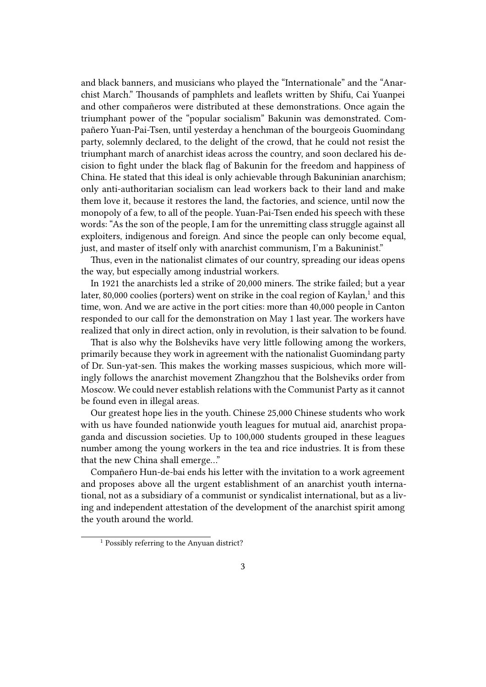and black banners, and musicians who played the "Internationale" and the "Anarchist March." Thousands of pamphlets and leaflets written by Shifu, Cai Yuanpei and other compañeros were distributed at these demonstrations. Once again the triumphant power of the "popular socialism" Bakunin was demonstrated. Compañero Yuan-Pai-Tsen, until yesterday a henchman of the bourgeois Guomindang party, solemnly declared, to the delight of the crowd, that he could not resist the triumphant march of anarchist ideas across the country, and soon declared his decision to fight under the black flag of Bakunin for the freedom and happiness of China. He stated that this ideal is only achievable through Bakuninian anarchism; only anti-authoritarian socialism can lead workers back to their land and make them love it, because it restores the land, the factories, and science, until now the monopoly of a few, to all of the people. Yuan-Pai-Tsen ended his speech with these words: "As the son of the people, I am for the unremitting class struggle against all exploiters, indigenous and foreign. And since the people can only become equal, just, and master of itself only with anarchist communism, I'm a Bakuninist."

Thus, even in the nationalist climates of our country, spreading our ideas opens the way, but especially among industrial workers.

In 1921 the anarchists led a strike of 20,000 miners. The strike failed; but a year later, 80,000 coolies (porters) went on strike in the coal region of Kaylan, $^1$  and this time, won. And we are active in the port cities: more than 40,000 people in Canton responded to our call for the demonstration on May 1 last year. The workers have realized that only in direct action, only in revolution, is their salvation to be found.

That is also why the Bolsheviks have very little following among the workers, primarily because they work in agreement with the nationalist Guomindang party of Dr. Sun-yat-sen. This makes the working masses suspicious, which more willingly follows the anarchist movement Zhangzhou that the Bolsheviks order from Moscow. We could never establish relations with the Communist Party as it cannot be found even in illegal areas.

Our greatest hope lies in the youth. Chinese 25,000 Chinese students who work with us have founded nationwide youth leagues for mutual aid, anarchist propaganda and discussion societies. Up to 100,000 students grouped in these leagues number among the young workers in the tea and rice industries. It is from these that the new China shall emerge…"

Compañero Hun-de-bai ends his letter with the invitation to a work agreement and proposes above all the urgent establishment of an anarchist youth international, not as a subsidiary of a communist or syndicalist international, but as a living and independent attestation of the development of the anarchist spirit among the youth around the world.

<sup>&</sup>lt;sup>1</sup> Possibly referring to the Anyuan district?